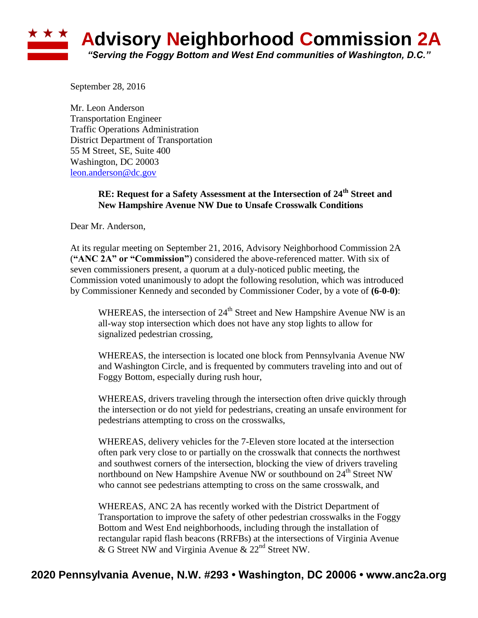## ★ ★ ★ **Advisory Neighborhood Commission 2A** *"Serving the Foggy Bottom and West End communities of Washington, D.C."*

September 28, 2016

Mr. Leon Anderson Transportation Engineer Traffic Operations Administration District Department of Transportation 55 M Street, SE, Suite 400 Washington, DC 20003 [leon.anderson@dc.gov](mailto:leon.anderson@dc.gov)

## **RE: Request for a Safety Assessment at the Intersection of 24th Street and New Hampshire Avenue NW Due to Unsafe Crosswalk Conditions**

Dear Mr. Anderson,

At its regular meeting on September 21, 2016, Advisory Neighborhood Commission 2A (**"ANC 2A" or "Commission"**) considered the above-referenced matter. With six of seven commissioners present, a quorum at a duly-noticed public meeting, the Commission voted unanimously to adopt the following resolution, which was introduced by Commissioner Kennedy and seconded by Commissioner Coder, by a vote of **(6-0-0)**:

WHEREAS, the intersection of  $24<sup>th</sup>$  Street and New Hampshire Avenue NW is an all-way stop intersection which does not have any stop lights to allow for signalized pedestrian crossing,

WHEREAS, the intersection is located one block from Pennsylvania Avenue NW and Washington Circle, and is frequented by commuters traveling into and out of Foggy Bottom, especially during rush hour,

WHEREAS, drivers traveling through the intersection often drive quickly through the intersection or do not yield for pedestrians, creating an unsafe environment for pedestrians attempting to cross on the crosswalks,

WHEREAS, delivery vehicles for the 7-Eleven store located at the intersection often park very close to or partially on the crosswalk that connects the northwest and southwest corners of the intersection, blocking the view of drivers traveling northbound on New Hampshire Avenue NW or southbound on 24<sup>th</sup> Street NW who cannot see pedestrians attempting to cross on the same crosswalk, and

WHEREAS, ANC 2A has recently worked with the District Department of Transportation to improve the safety of other pedestrian crosswalks in the Foggy Bottom and West End neighborhoods, including through the installation of rectangular rapid flash beacons (RRFBs) at the intersections of Virginia Avenue & G Street NW and Virginia Avenue &  $22<sup>nd</sup>$  Street NW.